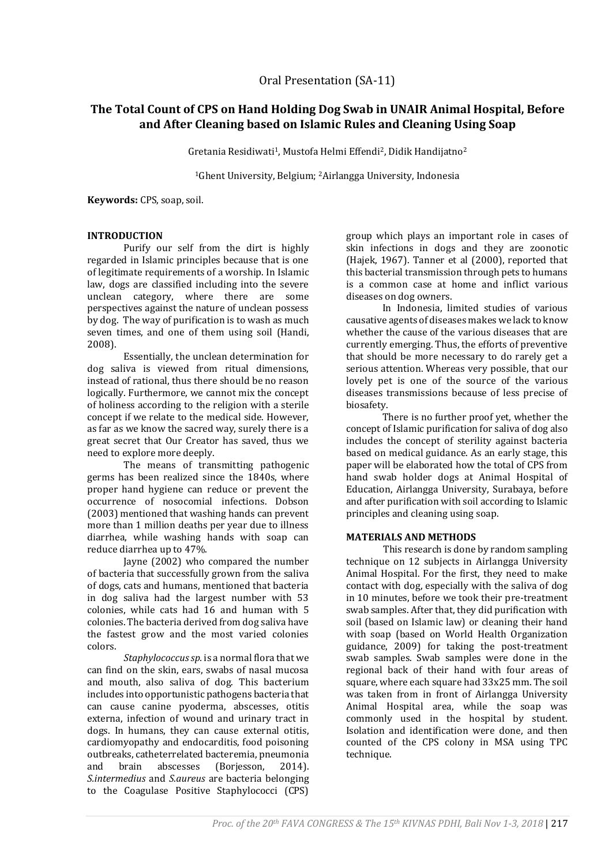# **The Total Count of CPS on Hand Holding Dog Swab in UNAIR Animal Hospital, Before and After Cleaning based on Islamic Rules and Cleaning Using Soap**

Gretania Residiwati<sup>1</sup>, Mustofa Helmi Effendi<sup>2</sup>, Didik Handijatno<sup>2</sup>

<sup>1</sup>Ghent University, Belgium; 2Airlangga University, Indonesia

**Keywords:** CPS, soap, soil.

# **INTRODUCTION**

Purify our self from the dirt is highly regarded in Islamic principles because that is one of legitimate requirements of a worship. In Islamic law, dogs are classified including into the severe unclean category, where there are some perspectives against the nature of unclean possess by dog. The way of purification is to wash as much seven times, and one of them using soil (Handi, 2008).

Essentially, the unclean determination for dog saliva is viewed from ritual dimensions, instead of rational, thus there should be no reason logically. Furthermore, we cannot mix the concept of holiness according to the religion with a sterile concept if we relate to the medical side. However, as far as we know the sacred way, surely there is a great secret that Our Creator has saved, thus we need to explore more deeply.

The means of transmitting pathogenic germs has been realized since the 1840s, where proper hand hygiene can reduce or prevent the occurrence of nosocomial infections. Dobson (2003) mentioned that washing hands can prevent more than 1 million deaths per year due to illness diarrhea, while washing hands with soap can reduce diarrhea up to 47%.

Jayne (2002) who compared the number of bacteria that successfully grown from the saliva of dogs, cats and humans, mentioned that bacteria in dog saliva had the largest number with 53 colonies, while cats had 16 and human with 5 colonies. The bacteria derived from dog saliva have the fastest grow and the most varied colonies colors.

*Staphylococcus sp.*is a normal flora that we can find on the skin, ears, swabs of nasal mucosa and mouth, also saliva of dog. This bacterium includes into opportunistic pathogens bacteria that can cause canine pyoderma, abscesses, otitis externa, infection of wound and urinary tract in dogs. In humans, they can cause external otitis, cardiomyopathy and endocarditis, food poisoning outbreaks, catheterrelated bacteremia, pneumonia and brain abscesses (Borjesson, 2014). *S.intermedius* and *S.aureus* are bacteria belonging to the Coagulase Positive Staphylococci (CPS)

group which plays an important role in cases of skin infections in dogs and they are zoonotic (Hajek, 1967). Tanner et al (2000), reported that this bacterial transmission through pets to humans is a common case at home and inflict various diseases on dog owners.

In Indonesia, limited studies of various causative agents of diseases makes we lack to know whether the cause of the various diseases that are currently emerging. Thus, the efforts of preventive that should be more necessary to do rarely get a serious attention. Whereas very possible, that our lovely pet is one of the source of the various diseases transmissions because of less precise of biosafety.

There is no further proof yet, whether the concept of Islamic purification for saliva of dog also includes the concept of sterility against bacteria based on medical guidance. As an early stage, this paper will be elaborated how the total of CPS from hand swab holder dogs at Animal Hospital of Education, Airlangga University, Surabaya, before and after purification with soil according to Islamic principles and cleaning using soap.

# **MATERIALS AND METHODS**

This research is done by random sampling technique on 12 subjects in Airlangga University Animal Hospital. For the first, they need to make contact with dog, especially with the saliva of dog in 10 minutes, before we took their pre-treatment swab samples. After that, they did purification with soil (based on Islamic law) or cleaning their hand with soap (based on World Health Organization guidance, 2009) for taking the post-treatment swab samples. Swab samples were done in the regional back of their hand with four areas of square, where each square had 33x25 mm. The soil was taken from in front of Airlangga University Animal Hospital area, while the soap was commonly used in the hospital by student. Isolation and identification were done, and then counted of the CPS colony in MSA using TPC technique.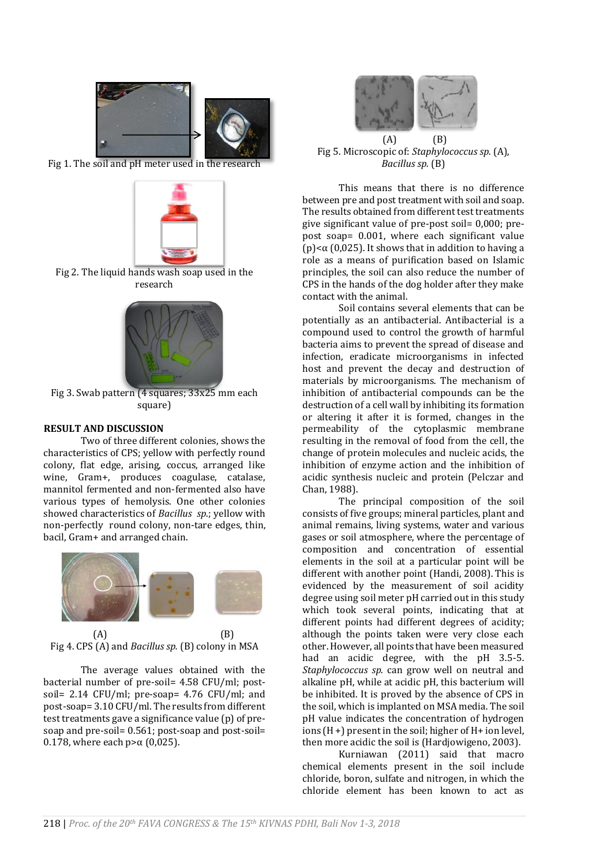

Fig 1. The soil and pH meter used in the research



Fig 2. The liquid hands wash soap used in the research



Fig 3. Swab pattern (4 squares; 33x25 mm each square)

### **RESULT AND DISCUSSION**

Two of three different colonies, shows the characteristics of CPS; yellow with perfectly round colony, flat edge, arising, coccus, arranged like wine, Gram+, produces coagulase, catalase, mannitol fermented and non-fermented also have various types of hemolysis. One other colonies showed characteristics of *Bacillus sp*.; yellow with non-perfectly round colony, non-tare edges, thin, bacil, Gram+ and arranged chain.



 $(A)$  (B) Fig 4. CPS (A) and *Bacillus sp.* (B) colony in MSA

The average values obtained with the bacterial number of pre-soil= 4.58 CFU/ml; postsoil= 2.14 CFU/ml; pre-soap= 4.76 CFU/ml; and post-soap= 3.10 CFU/ml. The results from different test treatments gave a significance value (p) of presoap and pre-soil= 0.561; post-soap and post-soil= 0.178, where each  $p > α$  (0,025).



Fig 5. Microscopic of: *Staphylococcus sp.* (A), *Bacillus sp.* (B)

This means that there is no difference between pre and post treatment with soil and soap. The results obtained from different test treatments give significant value of pre-post soil= 0,000; prepost soap= 0.001, where each significant value (p) $\lt \alpha$  (0,025). It shows that in addition to having a role as a means of purification based on Islamic principles, the soil can also reduce the number of CPS in the hands of the dog holder after they make contact with the animal.

Soil contains several elements that can be potentially as an antibacterial. Antibacterial is a compound used to control the growth of harmful bacteria aims to prevent the spread of disease and infection, eradicate microorganisms in infected host and prevent the decay and destruction of materials by microorganisms. The mechanism of inhibition of antibacterial compounds can be the destruction of a cell wall by inhibiting its formation or altering it after it is formed, changes in the permeability of the cytoplasmic membrane resulting in the removal of food from the cell, the change of protein molecules and nucleic acids, the inhibition of enzyme action and the inhibition of acidic synthesis nucleic and protein (Pelczar and Chan, 1988).

The principal composition of the soil consists of five groups; mineral particles, plant and animal remains, living systems, water and various gases or soil atmosphere, where the percentage of composition and concentration of essential elements in the soil at a particular point will be different with another point (Handi, 2008). This is evidenced by the measurement of soil acidity degree using soil meter pH carried out in this study which took several points, indicating that at different points had different degrees of acidity; although the points taken were very close each other. However, all points that have been measured had an acidic degree, with the pH 3.5-5. *Staphylococcus sp.* can grow well on neutral and alkaline pH, while at acidic pH, this bacterium will be inhibited. It is proved by the absence of CPS in the soil, which is implanted on MSA media. The soil pH value indicates the concentration of hydrogen ions (H +) present in the soil; higher of H+ ion level, then more acidic the soil is (Hardjowigeno, 2003).

Kurniawan (2011) said that macro chemical elements present in the soil include chloride, boron, sulfate and nitrogen, in which the chloride element has been known to act as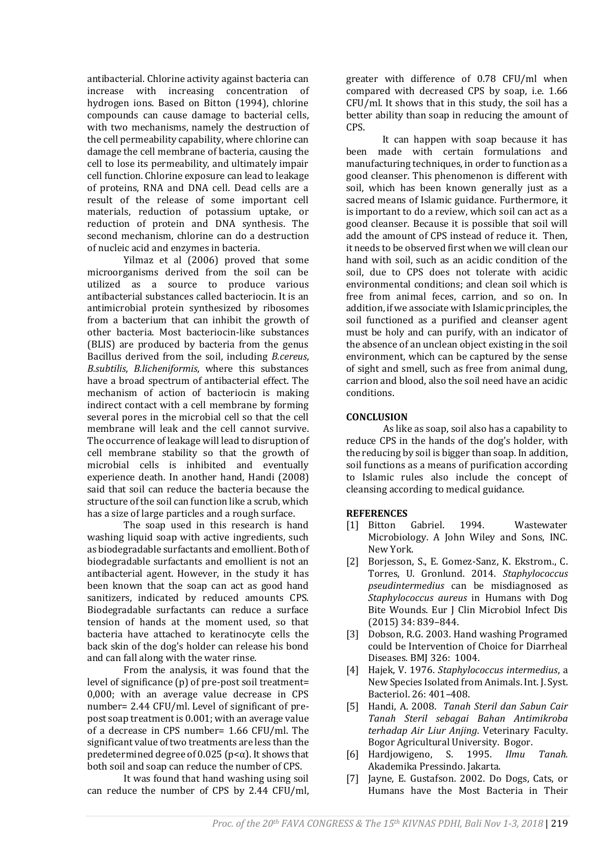antibacterial. Chlorine activity against bacteria can increase with increasing concentration of hydrogen ions. Based on Bitton (1994), chlorine compounds can cause damage to bacterial cells, with two mechanisms, namely the destruction of the cell permeability capability, where chlorine can damage the cell membrane of bacteria, causing the cell to lose its permeability, and ultimately impair cell function. Chlorine exposure can lead to leakage of proteins, RNA and DNA cell. Dead cells are a result of the release of some important cell materials, reduction of potassium uptake, or reduction of protein and DNA synthesis. The second mechanism, chlorine can do a destruction of nucleic acid and enzymes in bacteria.

Yilmaz et al (2006) proved that some microorganisms derived from the soil can be utilized as a source to produce various antibacterial substances called bacteriocin. It is an antimicrobial protein synthesized by ribosomes from a bacterium that can inhibit the growth of other bacteria. Most bacteriocin-like substances (BLIS) are produced by bacteria from the genus Bacillus derived from the soil, including *B.cereus*, *B.subtilis*, *B.licheniformis*, where this substances have a broad spectrum of antibacterial effect. The mechanism of action of bacteriocin is making indirect contact with a cell membrane by forming several pores in the microbial cell so that the cell membrane will leak and the cell cannot survive. The occurrence of leakage will lead to disruption of cell membrane stability so that the growth of microbial cells is inhibited and eventually experience death. In another hand, Handi (2008) said that soil can reduce the bacteria because the structure of the soil can function like a scrub, which has a size of large particles and a rough surface.

The soap used in this research is hand washing liquid soap with active ingredients, such as biodegradable surfactants and emollient. Both of biodegradable surfactants and emollient is not an antibacterial agent. However, in the study it has been known that the soap can act as good hand sanitizers, indicated by reduced amounts CPS. Biodegradable surfactants can reduce a surface tension of hands at the moment used, so that bacteria have attached to keratinocyte cells the back skin of the dog's holder can release his bond and can fall along with the water rinse.

From the analysis, it was found that the level of significance (p) of pre-post soil treatment= 0,000; with an average value decrease in CPS number= 2.44 CFU/ml. Level of significant of prepost soap treatment is 0.001; with an average value of a decrease in CPS number= 1.66 CFU/ml. The significant value of two treatments are less than the predetermined degree of 0.025 ( $p < \alpha$ ). It shows that both soil and soap can reduce the number of CPS.

It was found that hand washing using soil can reduce the number of CPS by 2.44 CFU/ml, greater with difference of 0.78 CFU/ml when compared with decreased CPS by soap, i.e. 1.66 CFU/ml. It shows that in this study, the soil has a better ability than soap in reducing the amount of CPS.

It can happen with soap because it has been made with certain formulations and manufacturing techniques, in order to function as a good cleanser. This phenomenon is different with soil, which has been known generally just as a sacred means of Islamic guidance. Furthermore, it is important to do a review, which soil can act as a good cleanser. Because it is possible that soil will add the amount of CPS instead of reduce it. Then, it needs to be observed first when we will clean our hand with soil, such as an acidic condition of the soil, due to CPS does not tolerate with acidic environmental conditions; and clean soil which is free from animal feces, carrion, and so on. In addition, if we associate with Islamic principles, the soil functioned as a purified and cleanser agent must be holy and can purify, with an indicator of the absence of an unclean object existing in the soil environment, which can be captured by the sense of sight and smell, such as free from animal dung, carrion and blood, also the soil need have an acidic conditions.

# **CONCLUSION**

As like as soap, soil also has a capability to reduce CPS in the hands of the dog's holder, with the reducing by soil is bigger than soap. In addition, soil functions as a means of purification according to Islamic rules also include the concept of cleansing according to medical guidance.

# **REFERENCES**

- [1] Bitton Gabriel. 1994. Wastewater Microbiology. A John Wiley and Sons, INC. New York.
- [2] Borjesson, S., E. Gomez-Sanz, K. Ekstrom., C. Torres, U. Gronlund. 2014. *Staphylococcus pseudintermedius* can be misdiagnosed as *Staphylococcus aureus* in Humans with Dog Bite Wounds. Eur J Clin Microbiol Infect Dis (2015) 34: 839–844.
- [3] Dobson, R.G. 2003. Hand washing Programed could be Intervention of Choice for Diarrheal Diseases. BMJ 326: 1004.
- [4] Hajek, V. 1976. *Staphylococcus intermedius*, a New Species Isolated from Animals. Int. J. Syst. Bacteriol. 26: 401–408.
- [5] Handi, A. 2008. *Tanah Steril dan Sabun Cair Tanah Steril sebagai Bahan Antimikroba terhadap Air Liur Anjing*. Veterinary Faculty. Bogor Agricultural University. Bogor.
- [6] Hardjowigeno, S. 1995. *Ilmu Tanah.* Akademika Pressindo. Jakarta.
- [7] Jayne, E. Gustafson. 2002. Do Dogs, Cats, or Humans have the Most Bacteria in Their